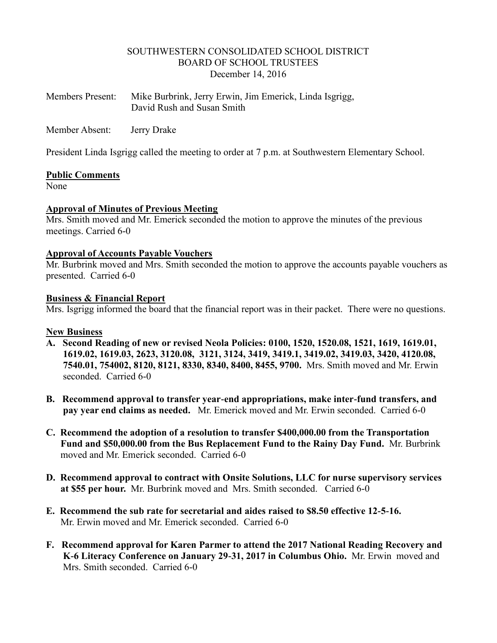## SOUTHWESTERN CONSOLIDATED SCHOOL DISTRICT BOARD OF SCHOOL TRUSTEES December 14, 2016

| <b>Members Present:</b> | Mike Burbrink, Jerry Erwin, Jim Emerick, Linda Isgrigg, |
|-------------------------|---------------------------------------------------------|
|                         | David Rush and Susan Smith                              |

Member Absent: Jerry Drake

President Linda Isgrigg called the meeting to order at 7 p.m. at Southwestern Elementary School.

## **Public Comments**

None

## **Approval of Minutes of Previous Meeting**

Mrs. Smith moved and Mr. Emerick seconded the motion to approve the minutes of the previous meetings. Carried 6-0

## **Approval of Accounts Payable Vouchers**

Mr. Burbrink moved and Mrs. Smith seconded the motion to approve the accounts payable vouchers as presented. Carried 6-0

## **Business & Financial Report**

Mrs. Isgrigg informed the board that the financial report was in their packet. There were no questions.

## **New Business**

- **A. Second Reading of new or revised Neola Policies: 0100, 1520, 1520.08, 1521, 1619, 1619.01, 1619.02, 1619.03, 2623, 3120.08, 3121, 3124, 3419, 3419.1, 3419.02, 3419.03, 3420, 4120.08, 7540.01, 754002, 8120, 8121, 8330, 8340, 8400, 8455, 9700.** Mrs. Smith moved and Mr. Erwin seconded. Carried 6-0
- **B. Recommend approval to transfer year-end appropriations, make inter-fund transfers, and pay year end claims as needed.** Mr. Emerick moved and Mr. Erwin seconded. Carried 6-0
- **C. Recommend the adoption of a resolution to transfer \$400,000.00 from the Transportation Fund and \$50,000.00 from the Bus Replacement Fund to the Rainy Day Fund.** Mr. Burbrink moved and Mr. Emerick seconded. Carried 6-0
- **D. Recommend approval to contract with Onsite Solutions, LLC for nurse supervisory services at \$55 per hour.** Mr. Burbrink moved and Mrs. Smith seconded. Carried 6-0
- **E. Recommend the sub rate for secretarial and aides raised to \$8.50 effective 12-5-16.** Mr. Erwin moved and Mr. Emerick seconded. Carried 6-0
- **F. Recommend approval for Karen Parmer to attend the 2017 National Reading Recovery and K-6 Literacy Conference on January 29-31, 2017 in Columbus Ohio.** Mr. Erwin moved and Mrs. Smith seconded. Carried 6-0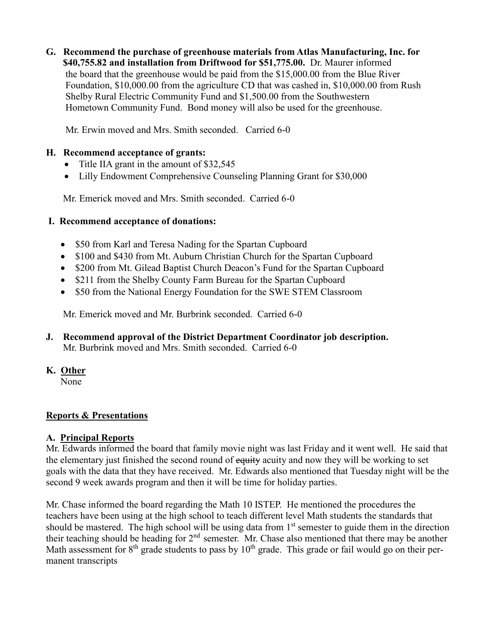**G. Recommend the purchase of greenhouse materials from Atlas Manufacturing, Inc. for \$40,755.82 and installation from Driftwood for \$51,775.00.** Dr. Maurer informed the board that the greenhouse would be paid from the \$15,000.00 from the Blue River Foundation, \$10,000.00 from the agriculture CD that was cashed in, \$10,000.00 from Rush Shelby Rural Electric Community Fund and \$1,500.00 from the Southwestern Hometown Community Fund. Bond money will also be used for the greenhouse.

Mr. Erwin moved and Mrs. Smith seconded. Carried 6-0

# **H. Recommend acceptance of grants:**

- Title IIA grant in the amount of \$32,545
- Lilly Endowment Comprehensive Counseling Planning Grant for \$30,000

Mr. Emerick moved and Mrs. Smith seconded. Carried 6-0

# **I. Recommend acceptance of donations:**

- \$50 from Karl and Teresa Nading for the Spartan Cupboard
- \$100 and \$430 from Mt. Auburn Christian Church for the Spartan Cupboard
- \$200 from Mt. Gilead Baptist Church Deacon's Fund for the Spartan Cupboard
- \$211 from the Shelby County Farm Bureau for the Spartan Cupboard
- \$50 from the National Energy Foundation for the SWE STEM Classroom

Mr. Emerick moved and Mr. Burbrink seconded. Carried 6-0

**J. Recommend approval of the District Department Coordinator job description.** Mr. Burbrink moved and Mrs. Smith seconded. Carried 6-0

# **K. Other**

None

# **Reports & Presentations**

# **A. Principal Reports**

Mr. Edwards informed the board that family movie night was last Friday and it went well. He said that the elementary just finished the second round of equity acuity and now they will be working to set goals with the data that they have received. Mr. Edwards also mentioned that Tuesday night will be the second 9 week awards program and then it will be time for holiday parties.

Mr. Chase informed the board regarding the Math 10 ISTEP. He mentioned the procedures the teachers have been using at the high school to teach different level Math students the standards that should be mastered. The high school will be using data from  $1<sup>st</sup>$  semester to guide them in the direction their teaching should be heading for  $2<sup>nd</sup>$  semester. Mr. Chase also mentioned that there may be another Math assessment for  $8<sup>th</sup>$  grade students to pass by  $10<sup>th</sup>$  grade. This grade or fail would go on their permanent transcripts